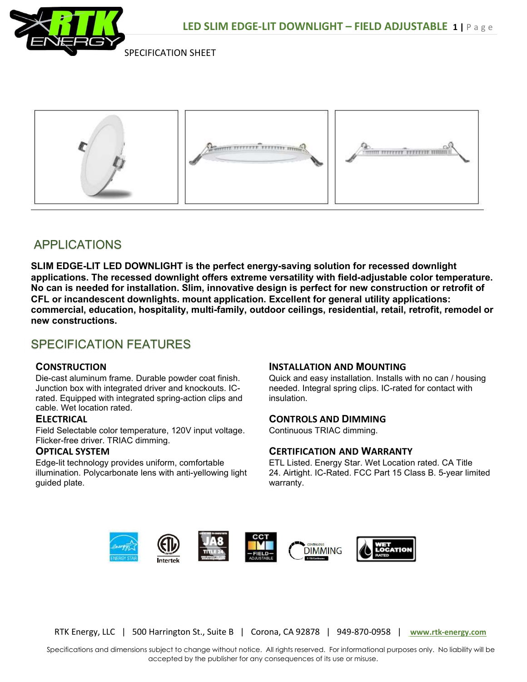

SPECIFICATION SHEET



# APPLICATIONS

SLIM EDGE-LIT LED DOWNLIGHT is the perfect energy-saving solution for recessed downlight applications. The recessed downlight offers extreme versatility with field-adjustable color temperature. No can is needed for installation. Slim, innovative design is perfect for new construction or retrofit of CFL or incandescent downlights. mount application. Excellent for general utility applications: commercial, education, hospitality, multi-family, outdoor ceilings, residential, retail, retrofit, remodel or new constructions.

## SPECIFICATION FEATURES

### **CONSTRUCTION**

Die-cast aluminum frame. Durable powder coat finish. Junction box with integrated driver and knockouts. ICrated. Equipped with integrated spring-action clips and cable. Wet location rated.

### **ELFCTRICAL**

Field Selectable color temperature, 120V input voltage. Flicker-free driver. TRIAC dimming.

#### OPTICAL SYSTEM

Edge-lit technology provides uniform, comfortable illumination. Polycarbonate lens with anti-yellowing light guided plate.

### INSTALLATION AND MOUNTING

Quick and easy installation. Installs with no can / housing needed. Integral spring clips. IC-rated for contact with insulation.

### CONTROLS AND DIMMING

Continuous TRIAC dimming.

### CERTIFICATION AND WARRANTY

ETL Listed. Energy Star. Wet Location rated. CA Title 24. Airtight. IC-Rated. FCC Part 15 Class B. 5-year limited warranty.



RTK Energy, LLC | 500 Harrington St., Suite B | Corona, CA 92878 | 949-870-0958 | www.rtk-energy.com

 Specifications and dimensions subject to change without notice. All rights reserved. For informational purposes only. No liability will be accepted by the publisher for any consequences of its use or misuse.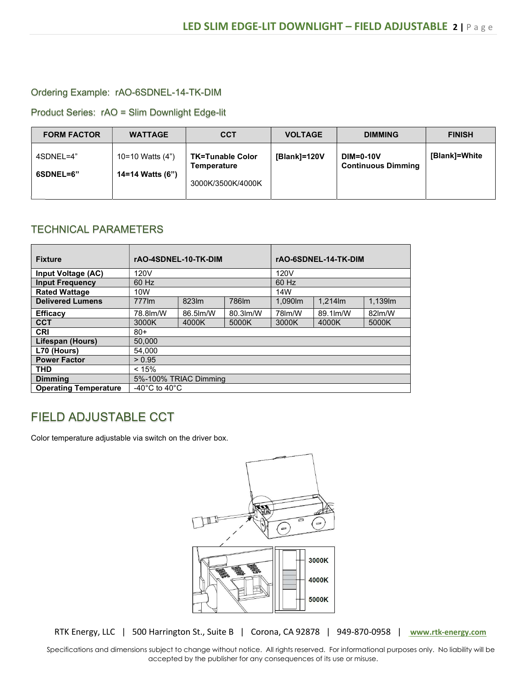#### Ordering Example: rAO-6SDNEL-14-TK-DIM

Product Series: rAO = Slim Downlight Edge-lit

| <b>FORM FACTOR</b>     | <b>WATTAGE</b>                       | <b>CCT</b>                                                  | <b>VOLTAGE</b> | <b>DIMMING</b>                                | <b>FINISH</b> |
|------------------------|--------------------------------------|-------------------------------------------------------------|----------------|-----------------------------------------------|---------------|
| 4SDNEL=4"<br>6SDNEL=6" | 10=10 Watts (4")<br>14=14 Watts (6") | <b>TK=Tunable Color</b><br>Temperature<br>3000K/3500K/4000K | [Blank]=120V   | <b>DIM=0-10V</b><br><b>Continuous Dimming</b> | [Blank]=White |

### TECHNICAL PARAMETERS

| <b>Fixture</b>               | rAO-4SDNEL-10-TK-DIM                |           |          | rAO-6SDNEL-14-TK-DIM |          |        |  |
|------------------------------|-------------------------------------|-----------|----------|----------------------|----------|--------|--|
| Input Voltage (AC)           | 120V                                |           |          | 120V                 |          |        |  |
| <b>Input Frequency</b>       | 60 Hz                               |           |          | 60 Hz                |          |        |  |
| <b>Rated Wattage</b>         | 10W                                 |           |          | 14W                  |          |        |  |
| <b>Delivered Lumens</b>      | 777lm                               | 823lm     | 786lm    | 1.090m               | 1.214lm  | 1,139m |  |
| <b>Efficacy</b>              | 78.8 lm/W                           | 86.5 lm/W | 80.3lm/W | 78lm/W               | 89.1lm/W | 82lm/W |  |
| <b>CCT</b>                   | 3000K                               | 4000K     | 5000K    | 3000K                | 4000K    | 5000K  |  |
| <b>CRI</b>                   | $80+$                               |           |          |                      |          |        |  |
| Lifespan (Hours)             | 50.000                              |           |          |                      |          |        |  |
| L70 (Hours)                  | 54.000                              |           |          |                      |          |        |  |
| <b>Power Factor</b>          | > 0.95                              |           |          |                      |          |        |  |
| <b>THD</b>                   | < 15%                               |           |          |                      |          |        |  |
| <b>Dimming</b>               | 5%-100% TRIAC Dimming               |           |          |                      |          |        |  |
| <b>Operating Temperature</b> | -40 $^{\circ}$ C to 40 $^{\circ}$ C |           |          |                      |          |        |  |

## FIELD ADJUSTABLE CCT

Color temperature adjustable via switch on the driver box.



RTK Energy, LLC | 500 Harrington St., Suite B | Corona, CA 92878 | 949-870-0958 | www.rtk-energy.com

 Specifications and dimensions subject to change without notice. All rights reserved. For informational purposes only. No liability will be accepted by the publisher for any consequences of its use or misuse.